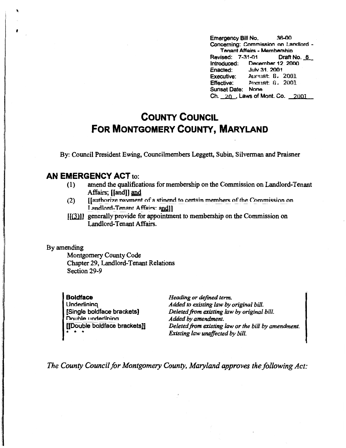Emergency Bill No. 36-00 Concerning: Commission on Landlord - T **anant Affairs** - **Membarshio**  Revised: 7-31-01<br>Introduced: Dece December 12, 2000<br>July 31, 2001 Enacted: Executive: August 8, 2001 Effective: Pucust 8, 2001 Sunset Date: Nona  $Ch. 20.$ , Laws of Mont. Co.  $2001.$ 

## **COUNTY COUNCIL FOR MONTGOMERY COUNTY, MARYLAND**

By: Council President Ewing, Councilmembers Leggett, Subin, Silverman and Praisner

## **AN EMERGENCY ACT** to:

- (1) amend the qualifications for membership on the Commission on Landlord-Tenant Affairs: IIandll and
- (2)  $\blacksquare$  [[authorize navment of a stinend to certain members of the Commission on **Landlord-Tenant Affairs: andll**
- [[(3)]] generally provide for appointment to membership on the Commission on Landlord-Tenant Affairs.

## By amending

**f** 

Montgomery County Code Chapter 29, Landlord-Tenant Relations Section 29-9

**Boldface Underlining** [Single boldface brackets) Double underlining [[Double boldface brackets]] • • •

**Heading or defined term.** *Added to existing law by original bill. Deleted from existing law by original bill. Added by amendment. Deleted from existing law or the bill by amendment. Existing law unaffected by bill.* 

*The County Council for Montgomery County, Maryland approves the following Act:*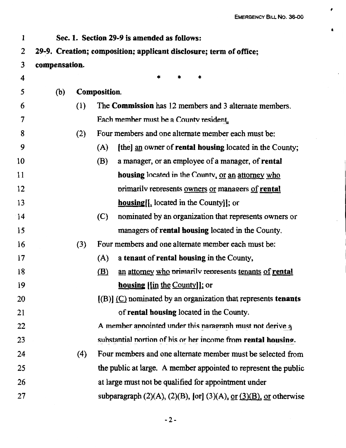,

••

| 1  |                                                                    |     |                     | Sec. 1. Section 29-9 is amended as follows:                                                     |  |  |  |  |
|----|--------------------------------------------------------------------|-----|---------------------|-------------------------------------------------------------------------------------------------|--|--|--|--|
| 2  | 29-9. Creation; composition; applicant disclosure; term of office; |     |                     |                                                                                                 |  |  |  |  |
| 3  | compensation.                                                      |     |                     |                                                                                                 |  |  |  |  |
| 4  |                                                                    |     |                     | $\ast$                                                                                          |  |  |  |  |
| 5  | (b)                                                                |     | <b>Composition.</b> |                                                                                                 |  |  |  |  |
| 6  |                                                                    | (1) |                     | The Commission has 12 members and 3 alternate members.                                          |  |  |  |  |
| 7  |                                                                    |     |                     | Each member must be a County resident.                                                          |  |  |  |  |
| 8  |                                                                    | (2) |                     | Four members and one alternate member each must be:                                             |  |  |  |  |
| 9  |                                                                    |     | (A)                 | [the] an owner of rental housing located in the County;                                         |  |  |  |  |
| 10 |                                                                    |     | (B)                 | a manager, or an employee of a manager, of rental                                               |  |  |  |  |
| 11 |                                                                    |     |                     | housing located in the County, or an attorney who                                               |  |  |  |  |
| 12 |                                                                    |     |                     | primarily represents owners or managers of rental                                               |  |  |  |  |
| 13 |                                                                    |     |                     | <b>housing</b> [[, located in the County]]; or                                                  |  |  |  |  |
| 14 |                                                                    |     | (C)                 | nominated by an organization that represents owners or                                          |  |  |  |  |
| 15 |                                                                    |     |                     | managers of <b>rental housing</b> located in the County.                                        |  |  |  |  |
| 16 |                                                                    | (3) |                     | Four members and one alternate member each must be:                                             |  |  |  |  |
| 17 |                                                                    |     | (A)                 | a tenant of rental housing in the County,                                                       |  |  |  |  |
| 18 |                                                                    |     | (B)                 | an attorney who primarily represents tenants of rental                                          |  |  |  |  |
| 19 |                                                                    |     |                     | <b>housing</b> [[in the County]]; or                                                            |  |  |  |  |
| 20 |                                                                    |     |                     | $[(B)]$ (C) nominated by an organization that represents tenants                                |  |  |  |  |
| 21 |                                                                    |     |                     | of rental housing located in the County.                                                        |  |  |  |  |
| 22 |                                                                    |     |                     | A member annointed under this naragraph must not derive q                                       |  |  |  |  |
| 23 |                                                                    |     |                     | substantial portion of his or her income from rental housing.                                   |  |  |  |  |
| 24 |                                                                    | (4) |                     | Four members and one alternate member must be selected from                                     |  |  |  |  |
| 25 |                                                                    |     |                     | the public at large. A member appointed to represent the public                                 |  |  |  |  |
| 26 |                                                                    |     |                     | at large must not be qualified for appointment under                                            |  |  |  |  |
| 27 |                                                                    |     |                     | subparagraph $(2)(A)$ , $(2)(B)$ , [or] $(3)(A)$ , <u>or <math>(3)(B)</math></u> , or otherwise |  |  |  |  |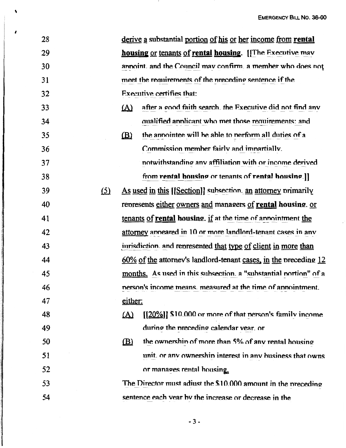**EMERGENCY BILL NO. 36-00** 

| 28 |            | derive a substantial portion of his or her income from rental            |
|----|------------|--------------------------------------------------------------------------|
| 29 |            | housing or tenants of rental housing. [The Executive may                 |
| 30 |            | annoint, and the Council may confirm, a member who does not              |
| 31 |            | meet the requirements of the preceding sentence if the                   |
| 32 |            | Executive certifies that:                                                |
| 33 |            | $\Delta$<br>after a good faith search, the Executive did not find any    |
| 34 |            | qualified applicant who met those requirements: and                      |
| 35 |            | the annointee will be able to nerform all duties of a<br>$\mathbf{B}$    |
| 36 |            | Commission member fairly and imnartially.                                |
| 37 |            | notwithstanding any affiliation with or income derived                   |
| 38 |            | from rental housing or tenants of rental housing.]]                      |
| 39 | <u>(5)</u> | As used in this [[Section]] subsection, an attorney primarily            |
| 40 |            | represents either owners and managers of rental housing. or              |
| 41 |            | tenants of rental housing. if at the time of annointment the             |
| 42 |            | attorney anneared in 10 or more landlord-tenant cases in any             |
| 43 |            | inrisdiction and represented that type of client in more than            |
| 44 |            | $60\%$ of the attorney's landlord-tenant cases, in the preceding 12      |
| 45 |            | months. As used in this subsection. a "substantial nortion" of a         |
| 46 |            | nerson's income means, measured at the time of annointment.              |
| 47 |            | either:                                                                  |
| 48 |            | $[20\%]$ ] \$10.000 or more of that nerson's family income<br><u>(A)</u> |
| 49 |            | during the preceding calendar vear. or                                   |
| 50 |            | the ownership of more than 5% of any rental housing<br>(B)               |
| 51 |            | unit, or any ownership interest in any business that owns                |
| 52 |            | or manages rental housing.                                               |
| 53 |            | The Director must adiust the \$10.000 amount in the preceding            |
| 54 |            | sentence each vear by the increase or decrease in the                    |

 $\ddot{\phantom{0}}$ 

 $\lambda$ 

 $-3-$